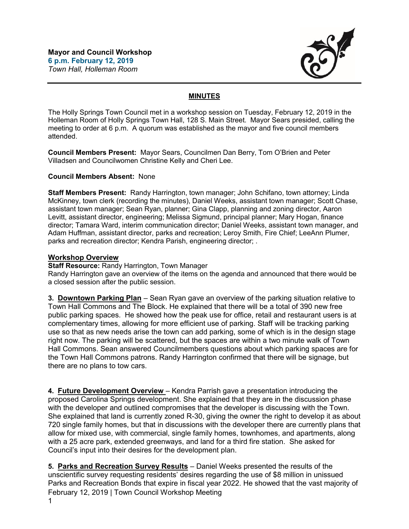

## **MINUTES**

The Holly Springs Town Council met in a workshop session on Tuesday, February 12, 2019 in the Holleman Room of Holly Springs Town Hall, 128 S. Main Street. Mayor Sears presided, calling the meeting to order at 6 p.m. A quorum was established as the mayor and five council members attended.

**Council Members Present:** Mayor Sears, Councilmen Dan Berry, Tom O'Brien and Peter Villadsen and Councilwomen Christine Kelly and Cheri Lee.

## **Council Members Absent:** None

**Staff Members Present:** Randy Harrington, town manager; John Schifano, town attorney; Linda McKinney, town clerk (recording the minutes), Daniel Weeks, assistant town manager; Scott Chase, assistant town manager; Sean Ryan, planner; Gina Clapp, planning and zoning director, Aaron Levitt, assistant director, engineering; Melissa Sigmund, principal planner; Mary Hogan, finance director; Tamara Ward, interim communication director; Daniel Weeks, assistant town manager, and Adam Huffman, assistant director, parks and recreation; Leroy Smith, Fire Chief; LeeAnn Plumer, parks and recreation director; Kendra Parish, engineering director; .

## **Workshop Overview**

**Staff Resource:** Randy Harrington, Town Manager

Randy Harrington gave an overview of the items on the agenda and announced that there would be a closed session after the public session.

**3. Downtown Parking Plan** – Sean Ryan gave an overview of the parking situation relative to Town Hall Commons and The Block. He explained that there will be a total of 390 new free public parking spaces. He showed how the peak use for office, retail and restaurant users is at complementary times, allowing for more efficient use of parking. Staff will be tracking parking use so that as new needs arise the town can add parking, some of which is in the design stage right now. The parking will be scattered, but the spaces are within a two minute walk of Town Hall Commons. Sean answered Councilmembers questions about which parking spaces are for the Town Hall Commons patrons. Randy Harrington confirmed that there will be signage, but there are no plans to tow cars.

**4. Future Development Overview** – Kendra Parrish gave a presentation introducing the proposed Carolina Springs development. She explained that they are in the discussion phase with the developer and outlined compromises that the developer is discussing with the Town. She explained that land is currently zoned R-30, giving the owner the right to develop it as about 720 single family homes, but that in discussions with the developer there are currently plans that allow for mixed use, with commercial, single family homes, townhomes, and apartments, along with a 25 acre park, extended greenways, and land for a third fire station. She asked for Council's input into their desires for the development plan.

February 12, 2019 | Town Council Workshop Meeting **5. Parks and Recreation Survey Results** – Daniel Weeks presented the results of the unscientific survey requesting residents' desires regarding the use of \$8 million in unissued Parks and Recreation Bonds that expire in fiscal year 2022. He showed that the vast majority of